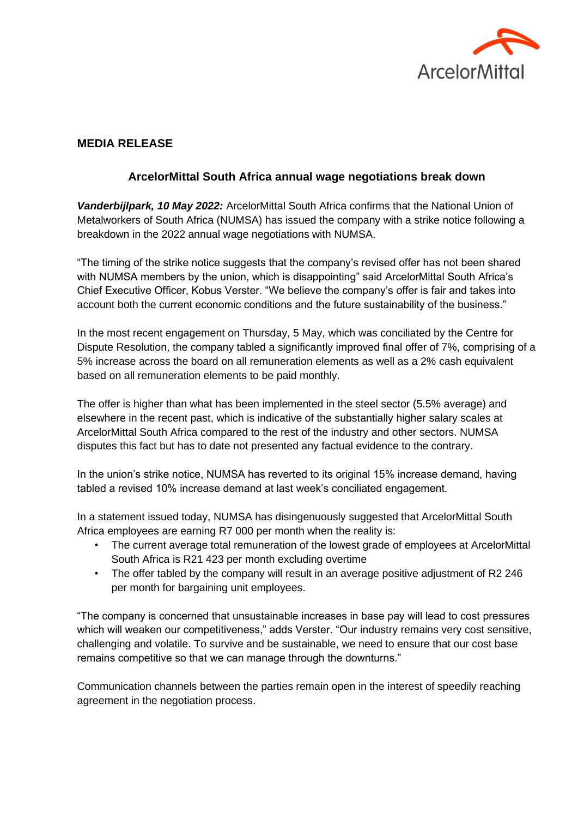

## **MEDIA RELEASE**

## **ArcelorMittal South Africa annual wage negotiations break down**

*Vanderbijlpark, 10 May 2022:* ArcelorMittal South Africa confirms that the National Union of Metalworkers of South Africa (NUMSA) has issued the company with a strike notice following a breakdown in the 2022 annual wage negotiations with NUMSA.

"The timing of the strike notice suggests that the company's revised offer has not been shared with NUMSA members by the union, which is disappointing" said ArcelorMittal South Africa's Chief Executive Officer, Kobus Verster. "We believe the company's offer is fair and takes into account both the current economic conditions and the future sustainability of the business."

In the most recent engagement on Thursday, 5 May, which was conciliated by the Centre for Dispute Resolution, the company tabled a significantly improved final offer of 7%, comprising of a 5% increase across the board on all remuneration elements as well as a 2% cash equivalent based on all remuneration elements to be paid monthly.

The offer is higher than what has been implemented in the steel sector (5.5% average) and elsewhere in the recent past, which is indicative of the substantially higher salary scales at ArcelorMittal South Africa compared to the rest of the industry and other sectors. NUMSA disputes this fact but has to date not presented any factual evidence to the contrary.

In the union's strike notice, NUMSA has reverted to its original 15% increase demand, having tabled a revised 10% increase demand at last week's conciliated engagement.

In a statement issued today, NUMSA has disingenuously suggested that ArcelorMittal South Africa employees are earning R7 000 per month when the reality is:

- The current average total remuneration of the lowest grade of employees at ArcelorMittal South Africa is R21 423 per month excluding overtime
- The offer tabled by the company will result in an average positive adjustment of R2 246 per month for bargaining unit employees.

"The company is concerned that unsustainable increases in base pay will lead to cost pressures which will weaken our competitiveness," adds Verster. "Our industry remains very cost sensitive, challenging and volatile. To survive and be sustainable, we need to ensure that our cost base remains competitive so that we can manage through the downturns."

Communication channels between the parties remain open in the interest of speedily reaching agreement in the negotiation process.